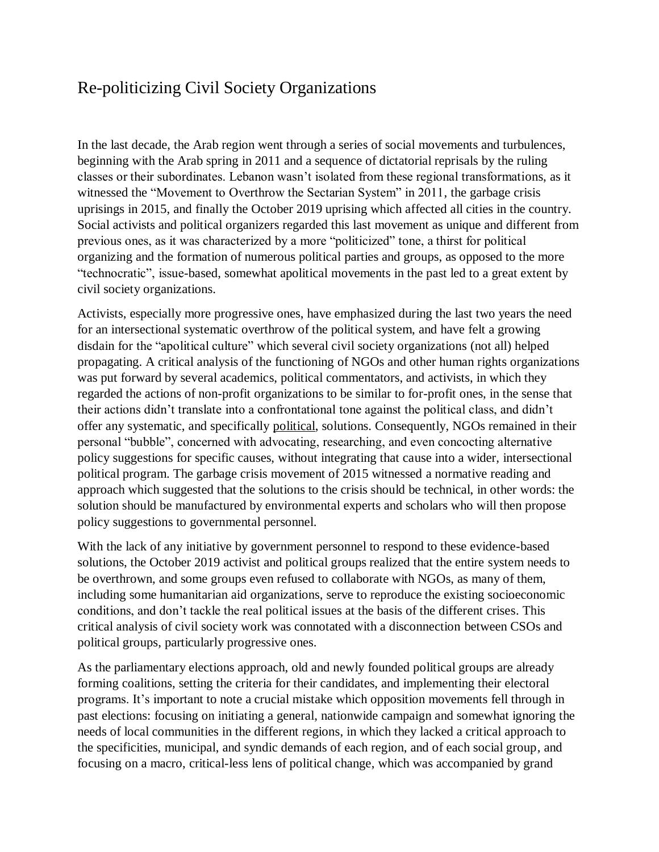## Re-politicizing Civil Society Organizations

In the last decade, the Arab region went through a series of social movements and turbulences, beginning with the Arab spring in 2011 and a sequence of dictatorial reprisals by the ruling classes or their subordinates. Lebanon wasn't isolated from these regional transformations, as it witnessed the "Movement to Overthrow the Sectarian System" in 2011, the garbage crisis uprisings in 2015, and finally the October 2019 uprising which affected all cities in the country. Social activists and political organizers regarded this last movement as unique and different from previous ones, as it was characterized by a more "politicized" tone, a thirst for political organizing and the formation of numerous political parties and groups, as opposed to the more "technocratic", issue-based, somewhat apolitical movements in the past led to a great extent by civil society organizations.

Activists, especially more progressive ones, have emphasized during the last two years the need for an intersectional systematic overthrow of the political system, and have felt a growing disdain for the "apolitical culture" which several civil society organizations (not all) helped propagating. A critical analysis of the functioning of NGOs and other human rights organizations was put forward by several academics, political commentators, and activists, in which they regarded the actions of non-profit organizations to be similar to for-profit ones, in the sense that their actions didn't translate into a confrontational tone against the political class, and didn't offer any systematic, and specifically political, solutions. Consequently, NGOs remained in their personal "bubble", concerned with advocating, researching, and even concocting alternative policy suggestions for specific causes, without integrating that cause into a wider, intersectional political program. The garbage crisis movement of 2015 witnessed a normative reading and approach which suggested that the solutions to the crisis should be technical, in other words: the solution should be manufactured by environmental experts and scholars who will then propose policy suggestions to governmental personnel.

With the lack of any initiative by government personnel to respond to these evidence-based solutions, the October 2019 activist and political groups realized that the entire system needs to be overthrown, and some groups even refused to collaborate with NGOs, as many of them, including some humanitarian aid organizations, serve to reproduce the existing socioeconomic conditions, and don't tackle the real political issues at the basis of the different crises. This critical analysis of civil society work was connotated with a disconnection between CSOs and political groups, particularly progressive ones.

As the parliamentary elections approach, old and newly founded political groups are already forming coalitions, setting the criteria for their candidates, and implementing their electoral programs. It's important to note a crucial mistake which opposition movements fell through in past elections: focusing on initiating a general, nationwide campaign and somewhat ignoring the needs of local communities in the different regions, in which they lacked a critical approach to the specificities, municipal, and syndic demands of each region, and of each social group, and focusing on a macro, critical-less lens of political change, which was accompanied by grand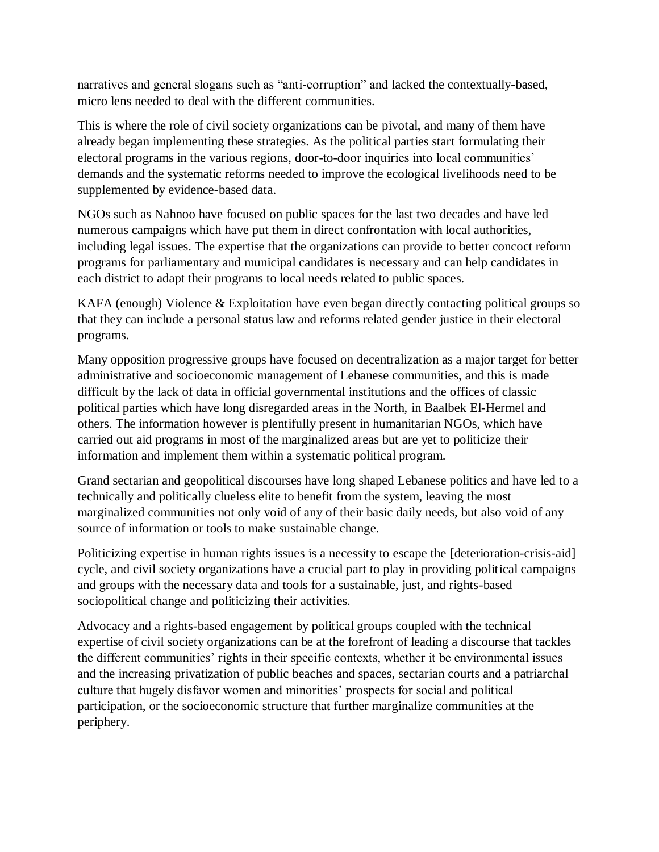narratives and general slogans such as "anti-corruption" and lacked the contextually-based, micro lens needed to deal with the different communities.

This is where the role of civil society organizations can be pivotal, and many of them have already began implementing these strategies. As the political parties start formulating their electoral programs in the various regions, door-to-door inquiries into local communities' demands and the systematic reforms needed to improve the ecological livelihoods need to be supplemented by evidence-based data.

NGOs such as Nahnoo have focused on public spaces for the last two decades and have led numerous campaigns which have put them in direct confrontation with local authorities, including legal issues. The expertise that the organizations can provide to better concoct reform programs for parliamentary and municipal candidates is necessary and can help candidates in each district to adapt their programs to local needs related to public spaces.

KAFA (enough) Violence & Exploitation have even began directly contacting political groups so that they can include a personal status law and reforms related gender justice in their electoral programs.

Many opposition progressive groups have focused on decentralization as a major target for better administrative and socioeconomic management of Lebanese communities, and this is made difficult by the lack of data in official governmental institutions and the offices of classic political parties which have long disregarded areas in the North, in Baalbek El-Hermel and others. The information however is plentifully present in humanitarian NGOs, which have carried out aid programs in most of the marginalized areas but are yet to politicize their information and implement them within a systematic political program.

Grand sectarian and geopolitical discourses have long shaped Lebanese politics and have led to a technically and politically clueless elite to benefit from the system, leaving the most marginalized communities not only void of any of their basic daily needs, but also void of any source of information or tools to make sustainable change.

Politicizing expertise in human rights issues is a necessity to escape the [deterioration-crisis-aid] cycle, and civil society organizations have a crucial part to play in providing political campaigns and groups with the necessary data and tools for a sustainable, just, and rights-based sociopolitical change and politicizing their activities.

Advocacy and a rights-based engagement by political groups coupled with the technical expertise of civil society organizations can be at the forefront of leading a discourse that tackles the different communities' rights in their specific contexts, whether it be environmental issues and the increasing privatization of public beaches and spaces, sectarian courts and a patriarchal culture that hugely disfavor women and minorities' prospects for social and political participation, or the socioeconomic structure that further marginalize communities at the periphery.